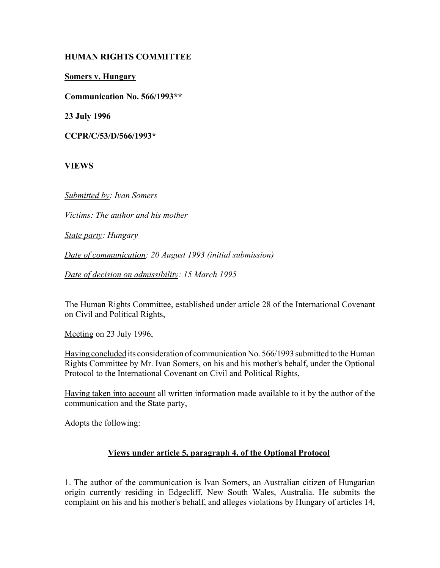# **HUMAN RIGHTS COMMITTEE**

**Somers v. Hungary**

**Communication No. 566/1993\*\***

**23 July 1996**

**CCPR/C/53/D/566/1993\***

**VIEWS**

*Submitted by: Ivan Somers*

*Victims: The author and his mother*

*State party: Hungary*

*Date of communication: 20 August 1993 (initial submission)* 

*Date of decision on admissibility: 15 March 1995*

The Human Rights Committee, established under article 28 of the International Covenant on Civil and Political Rights,

Meeting on 23 July 1996,

Having concluded its consideration of communication No. 566/1993 submitted to the Human Rights Committee by Mr. Ivan Somers, on his and his mother's behalf, under the Optional Protocol to the International Covenant on Civil and Political Rights,

Having taken into account all written information made available to it by the author of the communication and the State party,

Adopts the following:

# **Views under article 5, paragraph 4, of the Optional Protocol**

1. The author of the communication is Ivan Somers, an Australian citizen of Hungarian origin currently residing in Edgecliff, New South Wales, Australia. He submits the complaint on his and his mother's behalf, and alleges violations by Hungary of articles 14,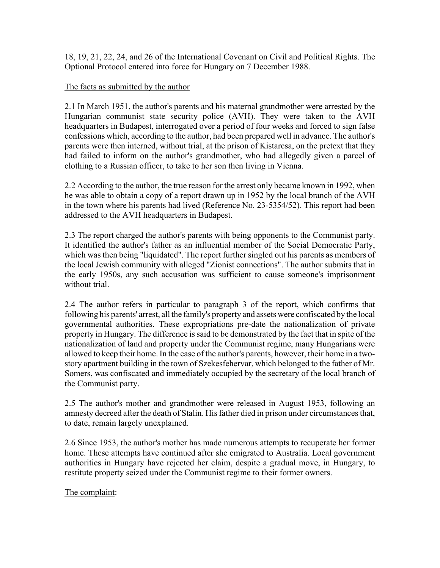18, 19, 21, 22, 24, and 26 of the International Covenant on Civil and Political Rights. The Optional Protocol entered into force for Hungary on 7 December 1988.

### The facts as submitted by the author

2.1 In March 1951, the author's parents and his maternal grandmother were arrested by the Hungarian communist state security police (AVH). They were taken to the AVH headquarters in Budapest, interrogated over a period of four weeks and forced to sign false confessions which, according to the author, had been prepared well in advance. The author's parents were then interned, without trial, at the prison of Kistarcsa, on the pretext that they had failed to inform on the author's grandmother, who had allegedly given a parcel of clothing to a Russian officer, to take to her son then living in Vienna.

2.2 According to the author, the true reason for the arrest only became known in 1992, when he was able to obtain a copy of a report drawn up in 1952 by the local branch of the AVH in the town where his parents had lived (Reference No. 23-5354/52). This report had been addressed to the AVH headquarters in Budapest.

2.3 The report charged the author's parents with being opponents to the Communist party. It identified the author's father as an influential member of the Social Democratic Party, which was then being "liquidated". The report further singled out his parents as members of the local Jewish community with alleged "Zionist connections". The author submits that in the early 1950s, any such accusation was sufficient to cause someone's imprisonment without trial.

2.4 The author refers in particular to paragraph 3 of the report, which confirms that following his parents' arrest, all the family's property and assets were confiscated by the local governmental authorities. These expropriations pre-date the nationalization of private property in Hungary. The difference is said to be demonstrated by the fact that in spite of the nationalization of land and property under the Communist regime, many Hungarians were allowed to keep their home. In the case of the author's parents, however, their home in a twostory apartment building in the town of Szekesfehervar, which belonged to the father of Mr. Somers, was confiscated and immediately occupied by the secretary of the local branch of the Communist party.

2.5 The author's mother and grandmother were released in August 1953, following an amnesty decreed after the death of Stalin. His father died in prison under circumstances that, to date, remain largely unexplained.

2.6 Since 1953, the author's mother has made numerous attempts to recuperate her former home. These attempts have continued after she emigrated to Australia. Local government authorities in Hungary have rejected her claim, despite a gradual move, in Hungary, to restitute property seized under the Communist regime to their former owners.

The complaint: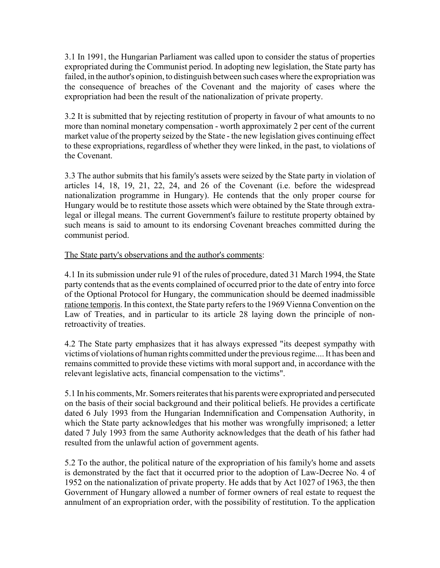3.1 In 1991, the Hungarian Parliament was called upon to consider the status of properties expropriated during the Communist period. In adopting new legislation, the State party has failed, in the author's opinion, to distinguish between such cases where the expropriation was the consequence of breaches of the Covenant and the majority of cases where the expropriation had been the result of the nationalization of private property.

3.2 It is submitted that by rejecting restitution of property in favour of what amounts to no more than nominal monetary compensation - worth approximately 2 per cent of the current market value of the property seized by the State - the new legislation gives continuing effect to these expropriations, regardless of whether they were linked, in the past, to violations of the Covenant.

3.3 The author submits that his family's assets were seized by the State party in violation of articles 14, 18, 19, 21, 22, 24, and 26 of the Covenant (i.e. before the widespread nationalization programme in Hungary). He contends that the only proper course for Hungary would be to restitute those assets which were obtained by the State through extralegal or illegal means. The current Government's failure to restitute property obtained by such means is said to amount to its endorsing Covenant breaches committed during the communist period.

#### The State party's observations and the author's comments:

4.1 In its submission under rule 91 of the rules of procedure, dated 31 March 1994, the State party contends that as the events complained of occurred prior to the date of entry into force of the Optional Protocol for Hungary, the communication should be deemed inadmissible ratione temporis. In this context, the State party refers to the 1969 Vienna Convention on the Law of Treaties, and in particular to its article 28 laying down the principle of nonretroactivity of treaties.

4.2 The State party emphasizes that it has always expressed "its deepest sympathy with victims of violations of human rights committed under the previous regime.... It has been and remains committed to provide these victims with moral support and, in accordance with the relevant legislative acts, financial compensation to the victims".

5.1 In his comments, Mr. Somers reiterates that his parents were expropriated and persecuted on the basis of their social background and their political beliefs. He provides a certificate dated 6 July 1993 from the Hungarian Indemnification and Compensation Authority, in which the State party acknowledges that his mother was wrongfully imprisoned; a letter dated 7 July 1993 from the same Authority acknowledges that the death of his father had resulted from the unlawful action of government agents.

5.2 To the author, the political nature of the expropriation of his family's home and assets is demonstrated by the fact that it occurred prior to the adoption of Law-Decree No. 4 of 1952 on the nationalization of private property. He adds that by Act 1027 of 1963, the then Government of Hungary allowed a number of former owners of real estate to request the annulment of an expropriation order, with the possibility of restitution. To the application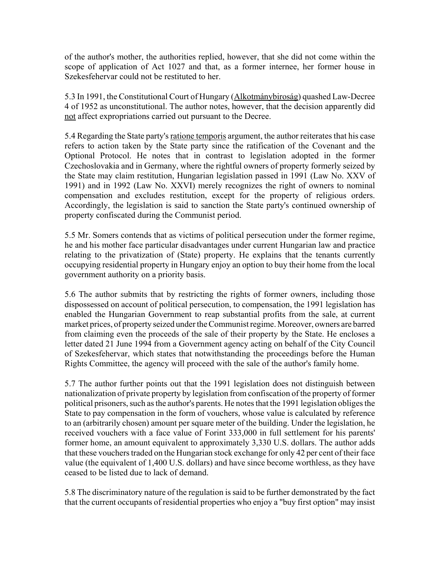of the author's mother, the authorities replied, however, that she did not come within the scope of application of Act 1027 and that, as a former internee, her former house in Szekesfehervar could not be restituted to her.

5.3 In 1991, the Constitutional Court of Hungary (Alkotmánybiroság) quashed Law-Decree 4 of 1952 as unconstitutional. The author notes, however, that the decision apparently did not affect expropriations carried out pursuant to the Decree.

5.4 Regarding the State party's ratione temporis argument, the author reiterates that his case refers to action taken by the State party since the ratification of the Covenant and the Optional Protocol. He notes that in contrast to legislation adopted in the former Czechoslovakia and in Germany, where the rightful owners of property formerly seized by the State may claim restitution, Hungarian legislation passed in 1991 (Law No. XXV of 1991) and in 1992 (Law No. XXVI) merely recognizes the right of owners to nominal compensation and excludes restitution, except for the property of religious orders. Accordingly, the legislation is said to sanction the State party's continued ownership of property confiscated during the Communist period.

5.5 Mr. Somers contends that as victims of political persecution under the former regime, he and his mother face particular disadvantages under current Hungarian law and practice relating to the privatization of (State) property. He explains that the tenants currently occupying residential property in Hungary enjoy an option to buy their home from the local government authority on a priority basis.

5.6 The author submits that by restricting the rights of former owners, including those dispossessed on account of political persecution, to compensation, the 1991 legislation has enabled the Hungarian Government to reap substantial profits from the sale, at current market prices, of property seized under the Communist regime. Moreover, owners are barred from claiming even the proceeds of the sale of their property by the State. He encloses a letter dated 21 June 1994 from a Government agency acting on behalf of the City Council of Szekesfehervar, which states that notwithstanding the proceedings before the Human Rights Committee, the agency will proceed with the sale of the author's family home.

5.7 The author further points out that the 1991 legislation does not distinguish between nationalization of private property by legislation from confiscation of the property of former political prisoners, such as the author's parents. He notes that the 1991 legislation obliges the State to pay compensation in the form of vouchers, whose value is calculated by reference to an (arbitrarily chosen) amount per square meter of the building. Under the legislation, he received vouchers with a face value of Forint 333,000 in full settlement for his parents' former home, an amount equivalent to approximately 3,330 U.S. dollars. The author adds that these vouchers traded on the Hungarian stock exchange for only 42 per cent of their face value (the equivalent of 1,400 U.S. dollars) and have since become worthless, as they have ceased to be listed due to lack of demand.

5.8 The discriminatory nature of the regulation is said to be further demonstrated by the fact that the current occupants of residential properties who enjoy a "buy first option" may insist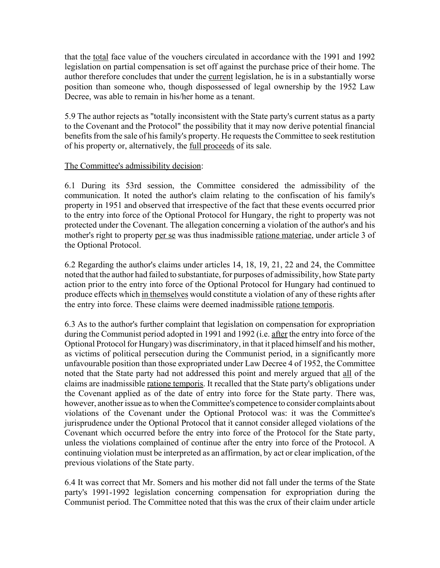that the total face value of the vouchers circulated in accordance with the 1991 and 1992 legislation on partial compensation is set off against the purchase price of their home. The author therefore concludes that under the current legislation, he is in a substantially worse position than someone who, though dispossessed of legal ownership by the 1952 Law Decree, was able to remain in his/her home as a tenant.

5.9 The author rejects as "totally inconsistent with the State party's current status as a party to the Covenant and the Protocol" the possibility that it may now derive potential financial benefits from the sale of his family's property. He requests the Committee to seek restitution of his property or, alternatively, the full proceeds of its sale.

# The Committee's admissibility decision:

6.1 During its 53rd session, the Committee considered the admissibility of the communication. It noted the author's claim relating to the confiscation of his family's property in 1951 and observed that irrespective of the fact that these events occurred prior to the entry into force of the Optional Protocol for Hungary, the right to property was not protected under the Covenant. The allegation concerning a violation of the author's and his mother's right to property per se was thus inadmissible ratione materiae, under article 3 of the Optional Protocol.

6.2 Regarding the author's claims under articles 14, 18, 19, 21, 22 and 24, the Committee noted that the author had failed to substantiate, for purposes of admissibility, how State party action prior to the entry into force of the Optional Protocol for Hungary had continued to produce effects which in themselves would constitute a violation of any of these rights after the entry into force. These claims were deemed inadmissible ratione temporis.

6.3 As to the author's further complaint that legislation on compensation for expropriation during the Communist period adopted in 1991 and 1992 (i.e. after the entry into force of the Optional Protocol for Hungary) was discriminatory, in that it placed himself and his mother, as victims of political persecution during the Communist period, in a significantly more unfavourable position than those expropriated under Law Decree 4 of 1952, the Committee noted that the State party had not addressed this point and merely argued that all of the claims are inadmissible ratione temporis. It recalled that the State party's obligations under the Covenant applied as of the date of entry into force for the State party. There was, however, another issue as to when the Committee's competence to consider complaints about violations of the Covenant under the Optional Protocol was: it was the Committee's jurisprudence under the Optional Protocol that it cannot consider alleged violations of the Covenant which occurred before the entry into force of the Protocol for the State party, unless the violations complained of continue after the entry into force of the Protocol. A continuing violation must be interpreted as an affirmation, by act or clear implication, of the previous violations of the State party.

6.4 It was correct that Mr. Somers and his mother did not fall under the terms of the State party's 1991-1992 legislation concerning compensation for expropriation during the Communist period. The Committee noted that this was the crux of their claim under article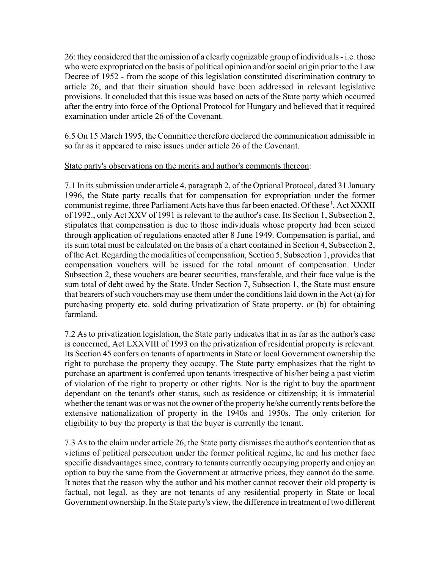26: they considered that the omission of a clearly cognizable group of individuals - i.e. those who were expropriated on the basis of political opinion and/or social origin prior to the Law Decree of 1952 - from the scope of this legislation constituted discrimination contrary to article 26, and that their situation should have been addressed in relevant legislative provisions. It concluded that this issue was based on acts of the State party which occurred after the entry into force of the Optional Protocol for Hungary and believed that it required examination under article 26 of the Covenant.

6.5 On 15 March 1995, the Committee therefore declared the communication admissible in so far as it appeared to raise issues under article 26 of the Covenant.

#### State party's observations on the merits and author's comments thereon:

7.1 In its submission under article 4, paragraph 2, of the Optional Protocol, dated 31 January 1996, the State party recalls that for compensation for expropriation under the former communist regime, three Parliament Acts have thus far been enacted. Of these<sup>1</sup>, Act XXXII of 1992., only Act XXV of 1991 is relevant to the author's case. Its Section 1, Subsection 2, stipulates that compensation is due to those individuals whose property had been seized through application of regulations enacted after 8 June 1949. Compensation is partial, and its sum total must be calculated on the basis of a chart contained in Section 4, Subsection 2, of the Act. Regarding the modalities of compensation, Section 5, Subsection 1, provides that compensation vouchers will be issued for the total amount of compensation. Under Subsection 2, these vouchers are bearer securities, transferable, and their face value is the sum total of debt owed by the State. Under Section 7, Subsection 1, the State must ensure that bearers of such vouchers may use them under the conditions laid down in the Act (a) for purchasing property etc. sold during privatization of State property, or (b) for obtaining farmland.

7.2 As to privatization legislation, the State party indicates that in as far as the author's case is concerned, Act LXXVIII of 1993 on the privatization of residential property is relevant. Its Section 45 confers on tenants of apartments in State or local Government ownership the right to purchase the property they occupy. The State party emphasizes that the right to purchase an apartment is conferred upon tenants irrespective of his/her being a past victim of violation of the right to property or other rights. Nor is the right to buy the apartment dependant on the tenant's other status, such as residence or citizenship; it is immaterial whether the tenant was or was not the owner of the property he/she currently rents before the extensive nationalization of property in the 1940s and 1950s. The only criterion for eligibility to buy the property is that the buyer is currently the tenant.

7.3 As to the claim under article 26, the State party dismisses the author's contention that as victims of political persecution under the former political regime, he and his mother face specific disadvantages since, contrary to tenants currently occupying property and enjoy an option to buy the same from the Government at attractive prices, they cannot do the same. It notes that the reason why the author and his mother cannot recover their old property is factual, not legal, as they are not tenants of any residential property in State or local Government ownership. In the State party's view, the difference in treatment of two different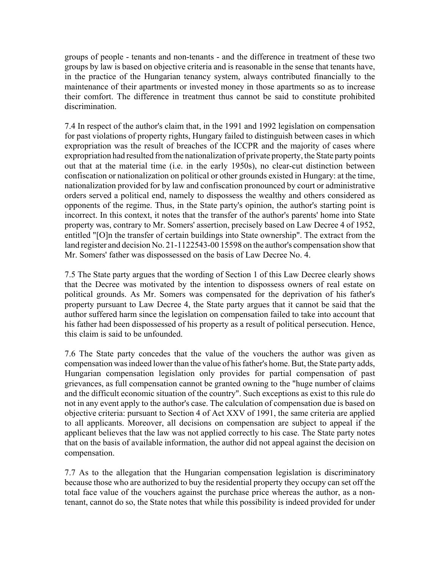groups of people - tenants and non-tenants - and the difference in treatment of these two groups by law is based on objective criteria and is reasonable in the sense that tenants have, in the practice of the Hungarian tenancy system, always contributed financially to the maintenance of their apartments or invested money in those apartments so as to increase their comfort. The difference in treatment thus cannot be said to constitute prohibited discrimination.

7.4 In respect of the author's claim that, in the 1991 and 1992 legislation on compensation for past violations of property rights, Hungary failed to distinguish between cases in which expropriation was the result of breaches of the ICCPR and the majority of cases where expropriation had resulted from the nationalization of private property, the State party points out that at the material time (i.e. in the early 1950s), no clear-cut distinction between confiscation or nationalization on political or other grounds existed in Hungary: at the time, nationalization provided for by law and confiscation pronounced by court or administrative orders served a political end, namely to dispossess the wealthy and others considered as opponents of the regime. Thus, in the State party's opinion, the author's starting point is incorrect. In this context, it notes that the transfer of the author's parents' home into State property was, contrary to Mr. Somers' assertion, precisely based on Law Decree 4 of 1952, entitled "[O]n the transfer of certain buildings into State ownership". The extract from the land register and decision No. 21-1122543-00 15598 on the author's compensation show that Mr. Somers' father was dispossessed on the basis of Law Decree No. 4.

7.5 The State party argues that the wording of Section 1 of this Law Decree clearly shows that the Decree was motivated by the intention to dispossess owners of real estate on political grounds. As Mr. Somers was compensated for the deprivation of his father's property pursuant to Law Decree 4, the State party argues that it cannot be said that the author suffered harm since the legislation on compensation failed to take into account that his father had been dispossessed of his property as a result of political persecution. Hence, this claim is said to be unfounded.

7.6 The State party concedes that the value of the vouchers the author was given as compensation was indeed lower than the value of his father's home. But, the State party adds, Hungarian compensation legislation only provides for partial compensation of past grievances, as full compensation cannot be granted owning to the "huge number of claims and the difficult economic situation of the country". Such exceptions as exist to this rule do not in any event apply to the author's case. The calculation of compensation due is based on objective criteria: pursuant to Section 4 of Act XXV of 1991, the same criteria are applied to all applicants. Moreover, all decisions on compensation are subject to appeal if the applicant believes that the law was not applied correctly to his case. The State party notes that on the basis of available information, the author did not appeal against the decision on compensation.

7.7 As to the allegation that the Hungarian compensation legislation is discriminatory because those who are authorized to buy the residential property they occupy can set off the total face value of the vouchers against the purchase price whereas the author, as a nontenant, cannot do so, the State notes that while this possibility is indeed provided for under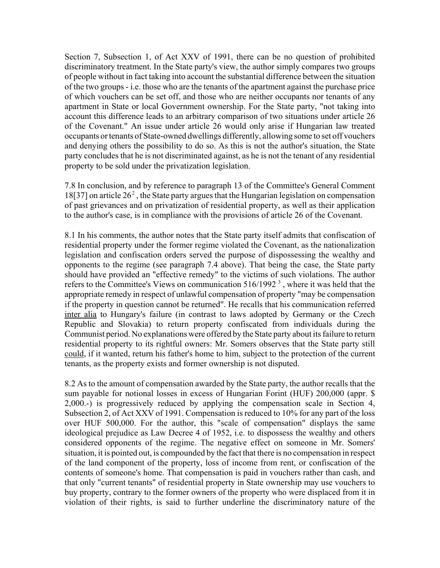Section 7, Subsection 1, of Act XXV of 1991, there can be no question of prohibited discriminatory treatment. In the State party's view, the author simply compares two groups of people without in fact taking into account the substantial difference between the situation of the two groups - i.e. those who are the tenants of the apartment against the purchase price of which vouchers can be set off, and those who are neither occupants nor tenants of any apartment in State or local Government ownership. For the State party, "not taking into account this difference leads to an arbitrary comparison of two situations under article 26 of the Covenant." An issue under article 26 would only arise if Hungarian law treated occupants or tenants of State-owned dwellings differently, allowing some to set off vouchers and denying others the possibility to do so. As this is not the author's situation, the State party concludes that he is not discriminated against, as he is not the tenant of any residential property to be sold under the privatization legislation.

7.8 In conclusion, and by reference to paragraph 13 of the Committee's General Comment 18[37] on article  $26<sup>2</sup>$ , the State party argues that the Hungarian legislation on compensation of past grievances and on privatization of residential property, as well as their application to the author's case, is in compliance with the provisions of article 26 of the Covenant.

8.1 In his comments, the author notes that the State party itself admits that confiscation of residential property under the former regime violated the Covenant, as the nationalization legislation and confiscation orders served the purpose of dispossessing the wealthy and opponents to the regime (see paragraph 7.4 above). That being the case, the State party should have provided an "effective remedy" to the victims of such violations. The author refers to the Committee's Views on communication  $516/1992$ <sup>3</sup>, where it was held that the appropriate remedy in respect of unlawful compensation of property "may be compensation if the property in question cannot be returned". He recalls that his communication referred inter alia to Hungary's failure (in contrast to laws adopted by Germany or the Czech Republic and Slovakia) to return property confiscated from individuals during the Communist period. No explanations were offered by the State party about its failure to return residential property to its rightful owners: Mr. Somers observes that the State party still could, if it wanted, return his father's home to him, subject to the protection of the current tenants, as the property exists and former ownership is not disputed.

8.2 As to the amount of compensation awarded by the State party, the author recalls that the sum payable for notional losses in excess of Hungarian Forint (HUF) 200,000 (appr. \$ 2,000.-) is progressively reduced by applying the compensation scale in Section 4, Subsection 2, of Act XXV of 1991. Compensation is reduced to 10% for any part of the loss over HUF 500,000. For the author, this "scale of compensation" displays the same ideological prejudice as Law Decree 4 of 1952, i.e. to dispossess the wealthy and others considered opponents of the regime. The negative effect on someone in Mr. Somers' situation, it is pointed out, is compounded by the fact that there is no compensation in respect of the land component of the property, loss of income from rent, or confiscation of the contents of someone's home. That compensation is paid in vouchers rather than cash, and that only "current tenants" of residential property in State ownership may use vouchers to buy property, contrary to the former owners of the property who were displaced from it in violation of their rights, is said to further underline the discriminatory nature of the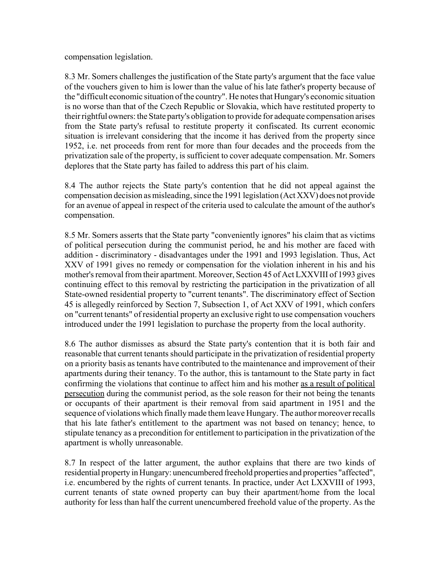compensation legislation.

8.3 Mr. Somers challenges the justification of the State party's argument that the face value of the vouchers given to him is lower than the value of his late father's property because of the "difficult economic situation of the country". He notes that Hungary's economic situation is no worse than that of the Czech Republic or Slovakia, which have restituted property to their rightful owners: the State party's obligation to provide for adequate compensation arises from the State party's refusal to restitute property it confiscated. Its current economic situation is irrelevant considering that the income it has derived from the property since 1952, i.e. net proceeds from rent for more than four decades and the proceeds from the privatization sale of the property, is sufficient to cover adequate compensation. Mr. Somers deplores that the State party has failed to address this part of his claim.

8.4 The author rejects the State party's contention that he did not appeal against the compensation decision as misleading, since the 1991 legislation (Act XXV) does not provide for an avenue of appeal in respect of the criteria used to calculate the amount of the author's compensation.

8.5 Mr. Somers asserts that the State party "conveniently ignores" his claim that as victims of political persecution during the communist period, he and his mother are faced with addition - discriminatory - disadvantages under the 1991 and 1993 legislation. Thus, Act XXV of 1991 gives no remedy or compensation for the violation inherent in his and his mother's removal from their apartment. Moreover, Section 45 of Act LXXVIII of 1993 gives continuing effect to this removal by restricting the participation in the privatization of all State-owned residential property to "current tenants". The discriminatory effect of Section 45 is allegedly reinforced by Section 7, Subsection 1, of Act XXV of 1991, which confers on "current tenants" of residential property an exclusive right to use compensation vouchers introduced under the 1991 legislation to purchase the property from the local authority.

8.6 The author dismisses as absurd the State party's contention that it is both fair and reasonable that current tenants should participate in the privatization of residential property on a priority basis as tenants have contributed to the maintenance and improvement of their apartments during their tenancy. To the author, this is tantamount to the State party in fact confirming the violations that continue to affect him and his mother as a result of political persecution during the communist period, as the sole reason for their not being the tenants or occupants of their apartment is their removal from said apartment in 1951 and the sequence of violations which finally made them leave Hungary. The author moreover recalls that his late father's entitlement to the apartment was not based on tenancy; hence, to stipulate tenancy as a precondition for entitlement to participation in the privatization of the apartment is wholly unreasonable.

8.7 In respect of the latter argument, the author explains that there are two kinds of residential property in Hungary: unencumbered freehold properties and properties "affected", i.e. encumbered by the rights of current tenants. In practice, under Act LXXVIII of 1993, current tenants of state owned property can buy their apartment/home from the local authority for less than half the current unencumbered freehold value of the property. As the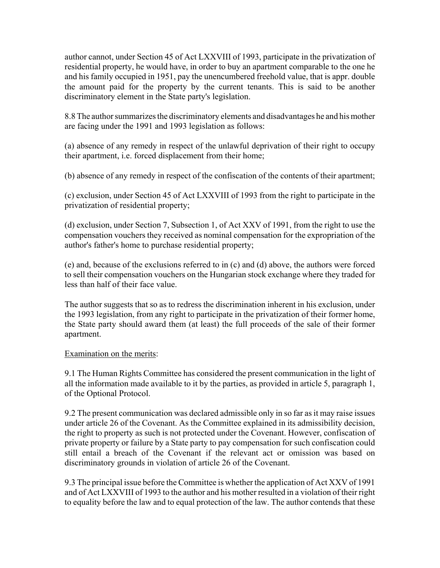author cannot, under Section 45 of Act LXXVIII of 1993, participate in the privatization of residential property, he would have, in order to buy an apartment comparable to the one he and his family occupied in 1951, pay the unencumbered freehold value, that is appr. double the amount paid for the property by the current tenants. This is said to be another discriminatory element in the State party's legislation.

8.8 The author summarizes the discriminatory elements and disadvantages he and his mother are facing under the 1991 and 1993 legislation as follows:

(a) absence of any remedy in respect of the unlawful deprivation of their right to occupy their apartment, i.e. forced displacement from their home;

(b) absence of any remedy in respect of the confiscation of the contents of their apartment;

(c) exclusion, under Section 45 of Act LXXVIII of 1993 from the right to participate in the privatization of residential property;

(d) exclusion, under Section 7, Subsection 1, of Act XXV of 1991, from the right to use the compensation vouchers they received as nominal compensation for the expropriation of the author's father's home to purchase residential property;

(e) and, because of the exclusions referred to in (c) and (d) above, the authors were forced to sell their compensation vouchers on the Hungarian stock exchange where they traded for less than half of their face value.

The author suggests that so as to redress the discrimination inherent in his exclusion, under the 1993 legislation, from any right to participate in the privatization of their former home, the State party should award them (at least) the full proceeds of the sale of their former apartment.

# Examination on the merits:

9.1 The Human Rights Committee has considered the present communication in the light of all the information made available to it by the parties, as provided in article 5, paragraph 1, of the Optional Protocol.

9.2 The present communication was declared admissible only in so far as it may raise issues under article 26 of the Covenant. As the Committee explained in its admissibility decision, the right to property as such is not protected under the Covenant. However, confiscation of private property or failure by a State party to pay compensation for such confiscation could still entail a breach of the Covenant if the relevant act or omission was based on discriminatory grounds in violation of article 26 of the Covenant.

9.3 The principal issue before the Committee is whether the application of Act XXV of 1991 and of Act LXXVIII of 1993 to the author and his mother resulted in a violation of their right to equality before the law and to equal protection of the law. The author contends that these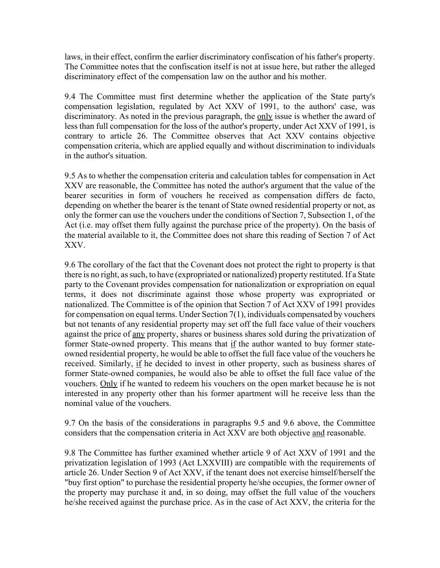laws, in their effect, confirm the earlier discriminatory confiscation of his father's property. The Committee notes that the confiscation itself is not at issue here, but rather the alleged discriminatory effect of the compensation law on the author and his mother.

9.4 The Committee must first determine whether the application of the State party's compensation legislation, regulated by Act XXV of 1991, to the authors' case, was discriminatory. As noted in the previous paragraph, the only issue is whether the award of less than full compensation for the loss of the author's property, under Act XXV of 1991, is contrary to article 26. The Committee observes that Act XXV contains objective compensation criteria, which are applied equally and without discrimination to individuals in the author's situation.

9.5 As to whether the compensation criteria and calculation tables for compensation in Act XXV are reasonable, the Committee has noted the author's argument that the value of the bearer securities in form of vouchers he received as compensation differs de facto, depending on whether the bearer is the tenant of State owned residential property or not, as only the former can use the vouchers under the conditions of Section 7, Subsection 1, of the Act (i.e. may offset them fully against the purchase price of the property). On the basis of the material available to it, the Committee does not share this reading of Section 7 of Act XXV.

9.6 The corollary of the fact that the Covenant does not protect the right to property is that there is no right, as such, to have (expropriated or nationalized) property restituted. If a State party to the Covenant provides compensation for nationalization or expropriation on equal terms, it does not discriminate against those whose property was expropriated or nationalized. The Committee is of the opinion that Section 7 of Act XXV of 1991 provides for compensation on equal terms. Under Section 7(1), individuals compensated by vouchers but not tenants of any residential property may set off the full face value of their vouchers against the price of any property, shares or business shares sold during the privatization of former State-owned property. This means that if the author wanted to buy former stateowned residential property, he would be able to offset the full face value of the vouchers he received. Similarly, if he decided to invest in other property, such as business shares of former State-owned companies, he would also be able to offset the full face value of the vouchers. Only if he wanted to redeem his vouchers on the open market because he is not interested in any property other than his former apartment will he receive less than the nominal value of the vouchers.

9.7 On the basis of the considerations in paragraphs 9.5 and 9.6 above, the Committee considers that the compensation criteria in Act XXV are both objective and reasonable.

9.8 The Committee has further examined whether article 9 of Act XXV of 1991 and the privatization legislation of 1993 (Act LXXVIII) are compatible with the requirements of article 26. Under Section 9 of Act XXV, if the tenant does not exercise himself/herself the "buy first option" to purchase the residential property he/she occupies, the former owner of the property may purchase it and, in so doing, may offset the full value of the vouchers he/she received against the purchase price. As in the case of Act XXV, the criteria for the